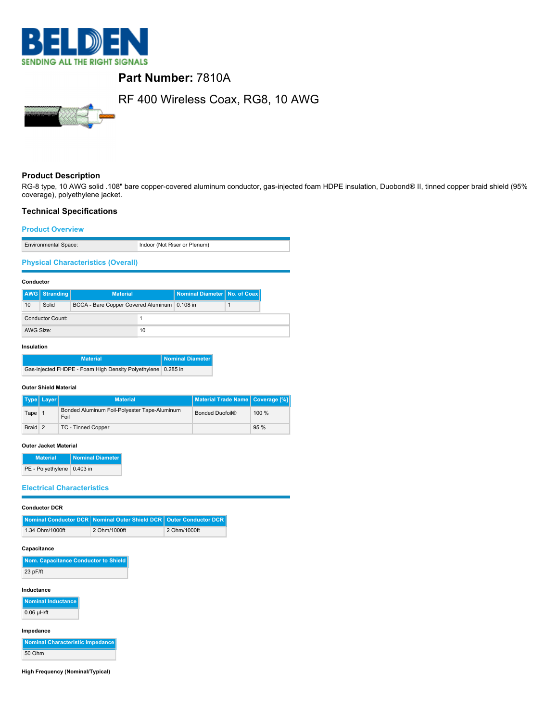

## **Part Number:** 7810A

# RF 400 Wireless Coax, RG8, 10 AWG

## **Product Description**

RG-8 type, 10 AWG solid .108" bare copper-covered aluminum conductor, gas-injected foam HDPE insulation, Duobond® II, tinned copper braid shield (95% coverage), polyethylene jacket.

## **Technical Specifications**

#### **Product Overview**

| <b>Environmental Space:</b> | Indoor (Not Riser or Plenum) |
|-----------------------------|------------------------------|

## **Physical Characteristics (Overall)**

## **Conductor**

|                  | AWG   Stranding | <b>Material</b>                              |    | Nominal Diameter   No. of Coax |  |
|------------------|-----------------|----------------------------------------------|----|--------------------------------|--|
| 10               | Solid           | BCCA - Bare Copper Covered Aluminum 0.108 in |    |                                |  |
| Conductor Count: |                 |                                              |    |                                |  |
| AWG Size:        |                 |                                              | 10 |                                |  |

#### **Insulation**

| <b>Material</b>                                                | Nominal Diameter |
|----------------------------------------------------------------|------------------|
| Gas-injected FHDPE - Foam High Density Polyethylene   0.285 in |                  |

#### **Outer Shield Material**

|         | Type   Layer | <b>Material</b>                                      | Material Trade Name   Coverage [%] |          |
|---------|--------------|------------------------------------------------------|------------------------------------|----------|
| Tape    |              | Bonded Aluminum Foil-Polyester Tape-Aluminum<br>Foil | Bonded Duofoil®                    | $100 \%$ |
| Braid 2 |              | TC - Tinned Copper                                   |                                    | 95%      |

#### **Outer Jacket Material**

| <b>Material</b>              | Nominal Diameter |
|------------------------------|------------------|
| PE - Polyethylene   0.403 in |                  |

## **Electrical Characteristics**

| <b>Conductor DCR</b> |  |
|----------------------|--|
|----------------------|--|

|                 | Nominal Conductor DCR Nominal Outer Shield DCR   Outer Conductor DCR |              |
|-----------------|----------------------------------------------------------------------|--------------|
| 1.34 Ohm/1000ft | 2 Ohm/1000ft                                                         | 2 Ohm/1000ft |

#### **Capacitance**

| Nom. Capacitance Conductor to Shield |
|--------------------------------------|
| 23 pF/ft                             |

#### **Inductance**

**Nominal Inductance** 0.06 µH/ft

#### **Impedance**

**Nominal Characteristic Impedance** 50 Ohm

**High Frequency (Nominal/Typical)**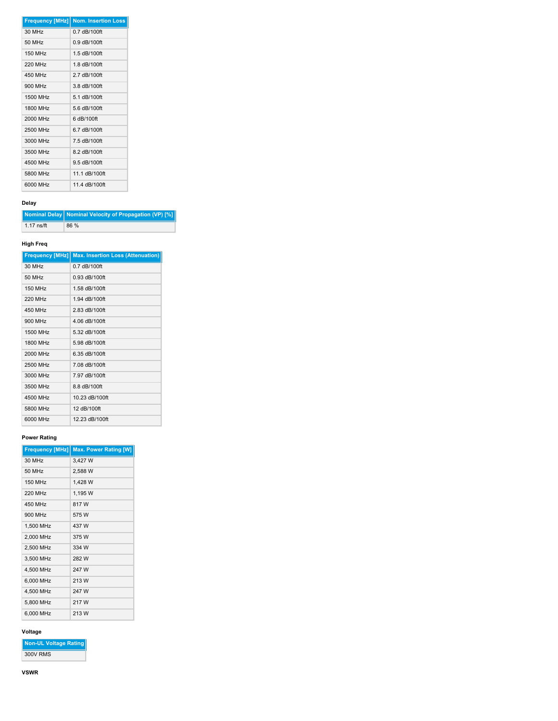|                | <b>Frequency [MHz] Nom. Insertion Loss</b> |
|----------------|--------------------------------------------|
| 30 MHz         | $0.7$ dB/100ft                             |
| 50 MHz         | $0.9$ dB/100ft                             |
| <b>150 MHz</b> | 1.5 dB/100ft                               |
| <b>220 MHz</b> | 1.8 dB/100ft                               |
| 450 MHz        | 2 7 dB/100ft                               |
| 900 MHz        | $3.8$ dB $/100$ ft                         |
| 1500 MHz       | 5.1 dB/100ft                               |
| 1800 MHz       | $56$ dB/100ft                              |
| 2000 MHz       | 6 dB/100ft                                 |
| 2500 MHz       | 6.7 dB/100ft                               |
| 3000 MHz       | 7.5 dB/100ft                               |
| 3500 MHz       | 8.2 dB/100ft                               |
| 4500 MHz       | $9.5$ dB/100ft                             |
| 5800 MHz       | 11 1 dB/100ft                              |
| 6000 MHz       | 11 4 dB/100ft                              |

## **Delay**

**Nominal Delay Nominal Velocity of Propagation (VP) [%]** 1.17 ns/ft 86 %

## **High Freq**

|                | <b>Frequency [MHz]   Max. Insertion Loss (Attenuation)</b> |
|----------------|------------------------------------------------------------|
| 30 MHz         | $0.7$ dB/100ft                                             |
| 50 MHz         | $0.93$ dB/100ft                                            |
| 150 MHz        | 1.58 dB/100ft                                              |
| <b>220 MHz</b> | 1.94 dB/100ft                                              |
| 450 MHz        | 2.83 dB/100ft                                              |
| 900 MHz        | 4.06 dB/100ft                                              |
| 1500 MHz       | 5.32 dB/100ft                                              |
| 1800 MHz       | 5.98 dB/100ft                                              |
| 2000 MHz       | 6.35 dB/100ft                                              |
| 2500 MHz       | 7.08 dB/100ft                                              |
| 3000 MHz       | 7.97 dB/100ft                                              |
| 3500 MHz       | 8.8 dB/100ft                                               |
| 4500 MHz       | 10.23 dB/100ft                                             |
| 5800 MHz       | 12 dB/100ft                                                |
| 6000 MHz       | 12.23 dB/100ft                                             |

## **Power Rating**

| <b>Max. Power Rating [W]</b><br><b>Frequency [MHz]</b> |
|--------------------------------------------------------|
| 3.427 W                                                |
| 2.588 W                                                |
| 1.428 W                                                |
| 1.195 W                                                |
| 817 W                                                  |
| 575 W                                                  |
| 437 W                                                  |
| 375 W                                                  |
| 334 W                                                  |
| 282 W                                                  |
| 247 W                                                  |
| 213 W                                                  |
| 247 W                                                  |
| 217 W                                                  |
| 213 W                                                  |
|                                                        |

 $\sim$ 

## **Voltage**

**Non-UL Voltage Rating** 300V RMS